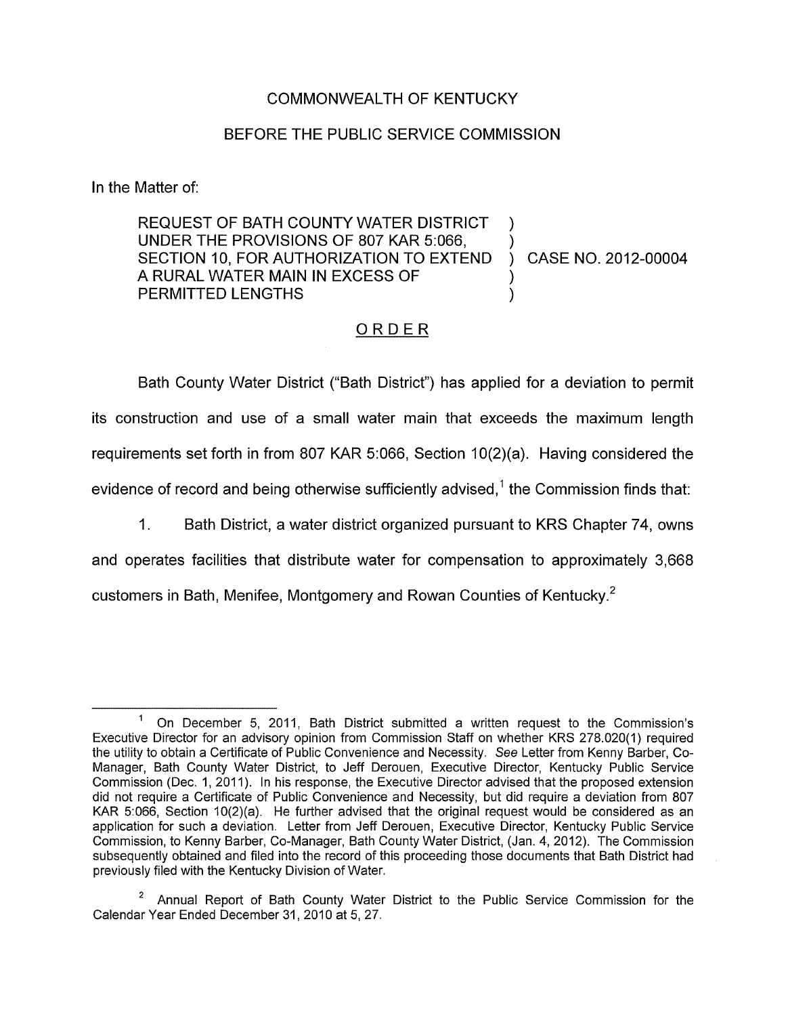## COMMONWEALTH OF KENTUCKY

## BEFORE THE PUBLIC SERVICE COMMISSION

In the Matter of:

REQUEST OF BATH COUNTY WATER DISTRICT UNDER THE PROVISIONS OF 807 KAR 5:066, ) SECTION 10, FOR AUTHORIZATION TO EXTEND ) CASE NO. 2012-00004 A RURAL WATER MAIN IN EXCESS OF 1 PERMITTED LENGTHS )

## ORDER

Bath County Water District ("Bath District") has applied for a deviation to permit its construction and use of a small water main that exceeds the maximum length requirements set forth in from 807 KAR 5:066, Section 10(2)(a). Having considered the evidence of record and being otherwise sufficiently advised,<sup>1</sup> the Commission finds that:

1. Bath District, a water district organized pursuant to KRS Chapter 74, owns

and operates facilities that distribute water for compensation to approximately 3,668 customers in Bath, Menifee, Montgomery and Rowan Counties of Kentucky.<sup>2</sup>

 $1$  On December 5, 2011, Bath District submitted a written request to the Commission's Executive Director for an advisory opinion from Commission Staff on whether KRS 278.020(1) required the utility to obtain a Certificate of Public Convenience and Necessity. See Letter from Kenny Barber, Co-Manager, Bath County Water District, to Jeff Derouen, Executive Director, Kentucky Public Service Commission (Dec. 1, 2011). In his response, the Executive Director advised that the proposed extension did not require a Certificate of Public Convenience and Necessity, but did require a deviation from 807 KAR 5:066, Section 10(2)(a). He further advised that the original request would be considered as an application for such a deviation. Letter from Jeff Derouen, Executive Director, Kentucky Public Service Commission, to Kenny Barber, Co-Manager, Bath County Water District, (Jan. 4, 2012). The Commission subsequently obtained and filed into the record of this proceeding those documents that Bath District had previously filed with the Kentucky Division of Water.

Calendar Year Ended December 31, 2010 at 5, 27. Annual Report of Bath County Water District to the Public Service Commission for the **<sup>2</sup>**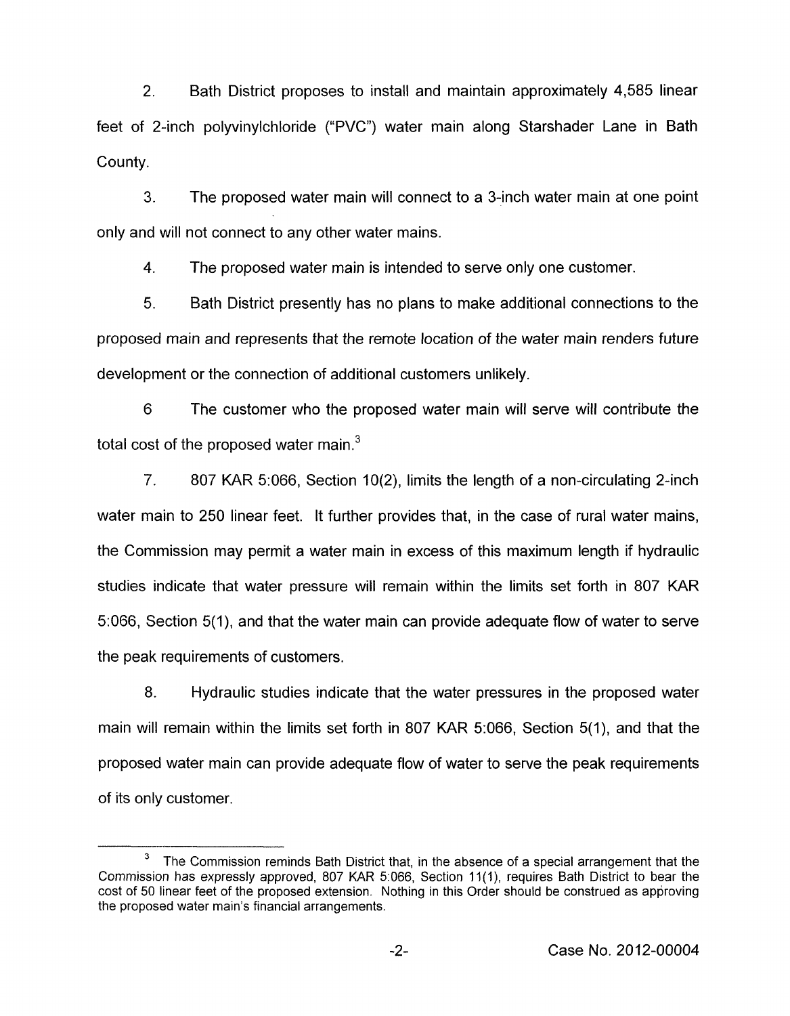2. Bath District proposes to install and maintain approximately 4,585 linear feet of 2-inch polyvinylchloride ("PVC") water main along Starshader Lane in Bath County.

3. The proposed water main will connect to a 3-inch water main at one point only and will not connect to any other water mains.

4. The proposed water main is intended to serve only one customer.

5. Bath District presently has no plans to make additional connections to the proposed main and represents that the remote location of the water main renders future development or the connection of additional customers unlikely.

6 The customer who the proposed water main will serve will contribute the total cost of the proposed water main.<sup>3</sup>

7. 807 KAR 5:066, Section 10(2), limits the length of a non-circulating 2-inch water main to 250 linear feet. It further provides that, in the case of rural water mains, the Commission may permit a water main in excess of this maximum length if hydraulic studies indicate that water pressure will remain within the limits set forth in 807 KAR 5066, Section 5(1), and that the water main can provide adequate flow of water to serve the peak requirements of customers.

8. Hydraulic studies indicate that the water pressures in the proposed water main will remain within the limits set forth in 807 KAR 5:066, Section 5(1), and that the proposed water main can provide adequate flow of water to serve the peak requirements of its only customer.

The Commission reminds Bath District that, in the absence of a special arrangement that the Commission has expressly approved, 807 KAR 5:066, Section 11(1), requires Bath District to bear the cost of 50 linear feet of the proposed extension. Nothing in this Order should be construed as approving the proposed water main's financial arrangements. **3**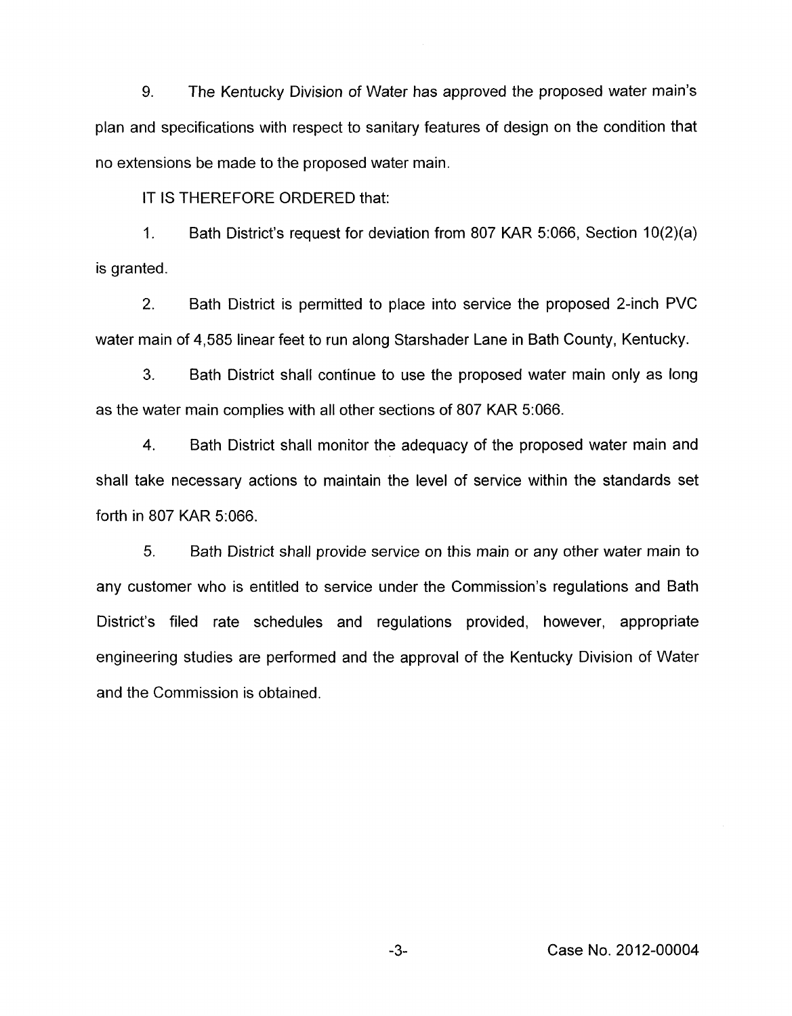**9.** The Kentucky Division of Water has approved the proposed water main's plan and specifications with respect to sanitary features of design on the condition that no extensions be made to the proposed water main.

IT IS THEREFORE ORDERED that:

1. Bath District's request for deviation from 807 KAR 5:066, Section 10(2)(a) is granted.

2. Bath District is permitted to place into service the proposed 2-inch PVC water main of 4,585 linear feet to run along Starshader Lane in Bath County, Kentucky.

*3.* Bath District shall continue to use the proposed water main only as long as the water main complies with all other sections of 807 KAR 5:066.

4. Bath District shall monitor the adequacy of the proposed water main and shall take necessary actions to maintain the level of service within the standards set forth in 807 KAR 5:066.

5. Bath District shall provide service on this main or any other water main to any customer who is entitled to service under the Commission's regulations and Bath District's filed rate schedules and regulations provided, however, appropriate engineering studies are performed and the approval of the Kentucky Division of Water and the Commission is obtained.

*-3-* Case No. 2012-00004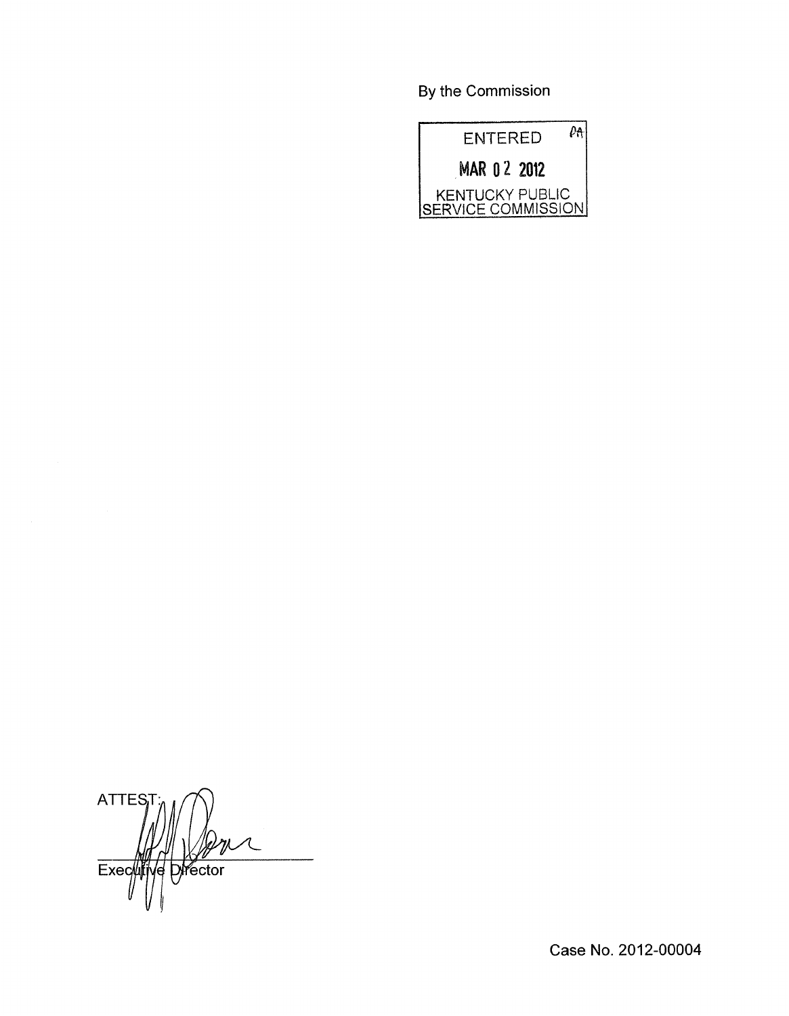By the Commission



ATTES<sub>I</sub> **Director**  $Exec$ I€

Case No. 2012-00004